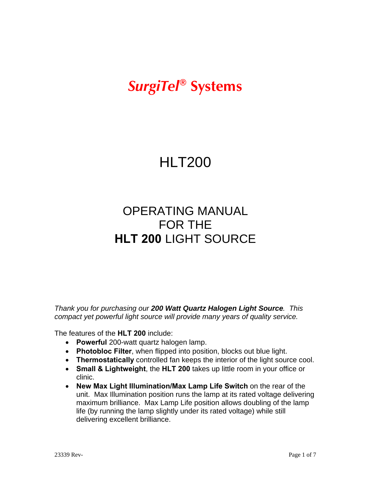# *SurgiTel®* **Systems**

# HLT200

# OPERATING MANUAL FOR THE **HLT 200** LIGHT SOURCE

*Thank you for purchasing our 200 Watt Quartz Halogen Light Source. This compact yet powerful light source will provide many years of quality service.*

The features of the **HLT 200** include:

- **Powerful** 200-watt quartz halogen lamp.
- **Photobloc Filter**, when flipped into position, blocks out blue light.
- **Thermostatically** controlled fan keeps the interior of the light source cool.
- **Small & Lightweight**, the **HLT 200** takes up little room in your office or clinic.
- **New Max Light Illumination/Max Lamp Life Switch** on the rear of the unit. Max Illumination position runs the lamp at its rated voltage delivering maximum brilliance. Max Lamp Life position allows doubling of the lamp life (by running the lamp slightly under its rated voltage) while still delivering excellent brilliance.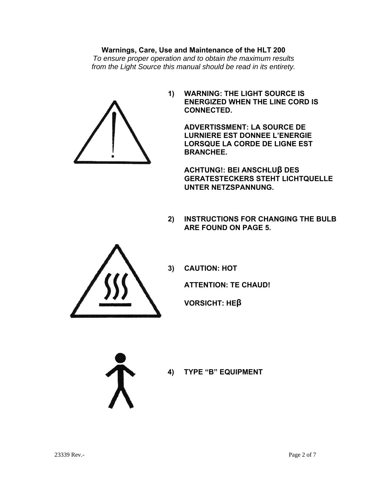#### **Warnings, Care, Use and Maintenance of the HLT 200**

*To ensure proper operation and to obtain the maximum results from the Light Source this manual should be read in its entirety.* 



**1) WARNING: THE LIGHT SOURCE IS ENERGIZED WHEN THE LINE CORD IS CONNECTED.** 

> **ADVERTISSMENT: LA SOURCE DE LURNIERE EST DONNEE L'ENERGIE LORSQUE LA CORDE DE LIGNE EST BRANCHEE.**

 **ACHTUNG!: BEI ANSCHLUβ DES GERATESTECKERS STEHT LICHTQUELLE UNTER NETZSPANNUNG.** 

**2) INSTRUCTIONS FOR CHANGING THE BULB ARE FOUND ON PAGE 5.** 



**3) CAUTION: HOT** 

 **ATTENTION: TE CHAUD!** 

 **VORSICHT: HEβ**

**4) TYPE "B" EQUIPMENT**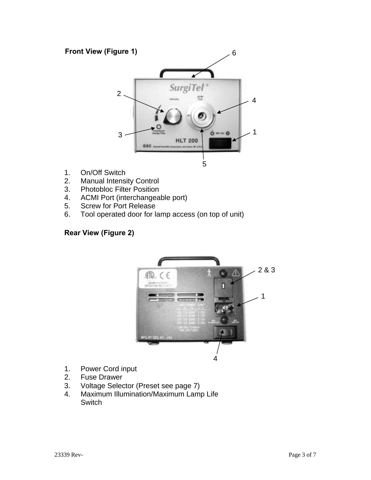## **Front View (Figure 1)**



- 1. On/Off Switch
- 2. Manual Intensity Control
- 3. Photobloc Filter Position
- 4. ACMI Port (interchangeable port)
- 5. Screw for Port Release
- 6. Tool operated door for lamp access (on top of unit)

#### **Rear View (Figure 2)**



- 1. Power Cord input
- 2. Fuse Drawer
- 3. Voltage Selector (Preset see page 7)
- 4. Maximum Illumination/Maximum Lamp Life Switch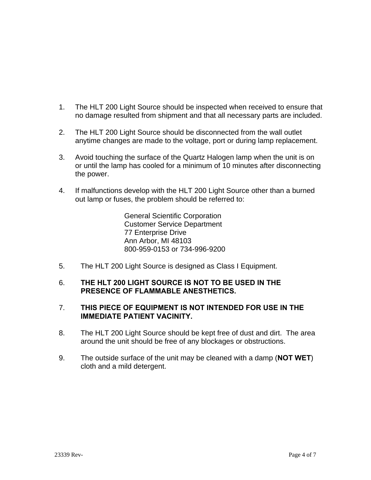- 1. The HLT 200 Light Source should be inspected when received to ensure that no damage resulted from shipment and that all necessary parts are included.
- 2. The HLT 200 Light Source should be disconnected from the wall outlet anytime changes are made to the voltage, port or during lamp replacement.
- 3. Avoid touching the surface of the Quartz Halogen lamp when the unit is on or until the lamp has cooled for a minimum of 10 minutes after disconnecting the power.
- 4. If malfunctions develop with the HLT 200 Light Source other than a burned out lamp or fuses, the problem should be referred to:

 General Scientific Corporation Customer Service Department 77 Enterprise Drive Ann Arbor, MI 48103 800-959-0153 or 734-996-9200

5. The HLT 200 Light Source is designed as Class I Equipment.

#### 6. **THE HLT 200 LIGHT SOURCE IS NOT TO BE USED IN THE PRESENCE OF FLAMMABLE ANESTHETICS.**

#### 7. **THIS PIECE OF EQUIPMENT IS NOT INTENDED FOR USE IN THE IMMEDIATE PATIENT VACINITY.**

- 8. The HLT 200 Light Source should be kept free of dust and dirt. The area around the unit should be free of any blockages or obstructions.
- 9. The outside surface of the unit may be cleaned with a damp (**NOT WET**) cloth and a mild detergent.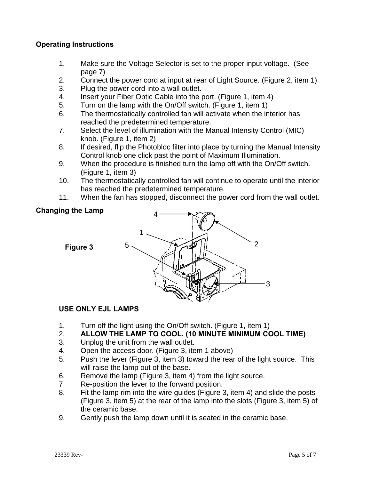#### **Operating Instructions**

- 1. Make sure the Voltage Selector is set to the proper input voltage. (See page 7)
- 2. Connect the power cord at input at rear of Light Source. (Figure 2, item 1)
- 3. Plug the power cord into a wall outlet.
- 4. Insert your Fiber Optic Cable into the port. (Figure 1, item 4)
- 5. Turn on the lamp with the On/Off switch. (Figure 1, item 1)
- 6. The thermostatically controlled fan will activate when the interior has reached the predetermined temperature.
- 7. Select the level of illumination with the Manual Intensity Control (MIC) knob. (Figure 1, item 2)
- 8. If desired, flip the Photobloc filter into place by turning the Manual Intensity Control knob one click past the point of Maximum Illumination.
- 9. When the procedure is finished turn the lamp off with the On/Off switch. (Figure 1, item 3)
- 10. The thermostatically controlled fan will continue to operate until the interior has reached the predetermined temperature.
- 11. When the fan has stopped, disconnect the power cord from the wall outlet.

#### **Changing the Lamp**

**Figure 3** 



## **USE ONLY EJL LAMPS**

- 1. Turn off the light using the On/Off switch. (Figure 1, item 1)
- 2. **ALLOW THE LAMP TO COOL. (10 MINUTE MINIMUM COOL TIME)**
- 3. Unplug the unit from the wall outlet.
- 4. Open the access door. (Figure 3, item 1 above)
- 5. Push the lever (Figure 3, item 3) toward the rear of the light source. This will raise the lamp out of the base.
- 6. Remove the lamp (Figure 3, item 4) from the light source.
- 7 Re-position the lever to the forward position.
- 8. Fit the lamp rim into the wire guides (Figure 3, item 4) and slide the posts (Figure 3, item 5) at the rear of the lamp into the slots (Figure 3, item 5) of the ceramic base.
- 9. Gently push the lamp down until it is seated in the ceramic base.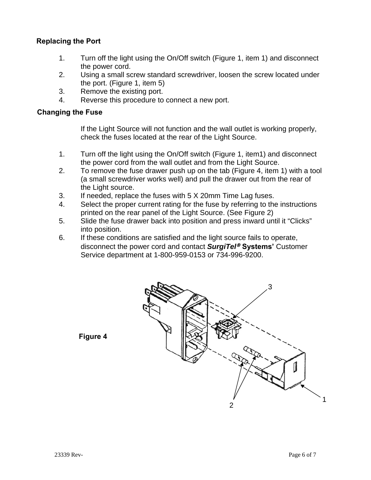### **Replacing the Port**

- 1. Turn off the light using the On/Off switch (Figure 1, item 1) and disconnect the power cord.
- 2. Using a small screw standard screwdriver, loosen the screw located under the port. (Figure 1, item 5)
- 3. Remove the existing port.
- 4. Reverse this procedure to connect a new port.

#### **Changing the Fuse**

If the Light Source will not function and the wall outlet is working properly, check the fuses located at the rear of the Light Source.

- 1. Turn off the light using the On/Off switch (Figure 1, item1) and disconnect the power cord from the wall outlet and from the Light Source.
- 2. To remove the fuse drawer push up on the tab (Figure 4, item 1) with a tool (a small screwdriver works well) and pull the drawer out from the rear of the Light source.
- 3. If needed, replace the fuses with 5 X 20mm Time Lag fuses.
- 4. Select the proper current rating for the fuse by referring to the instructions printed on the rear panel of the Light Source. (See Figure 2)
- 5. Slide the fuse drawer back into position and press inward until it "Clicks" into position.
- 6. If these conditions are satisfied and the light source fails to operate, disconnect the power cord and contact **SurgiTel<sup>®</sup> Systems'** Customer Service department at 1-800-959-0153 or 734-996-9200.



**Figure 4**